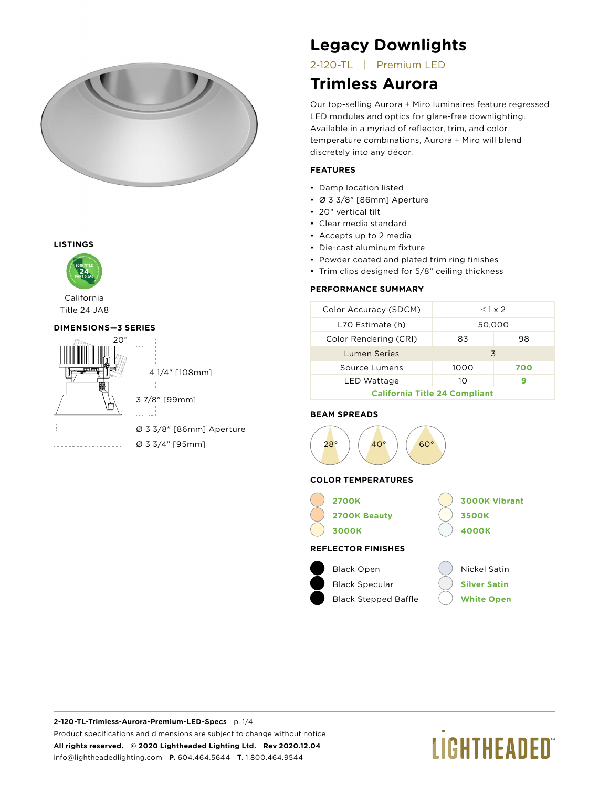

### **LISTINGS**



Title 24 JA8

### **DIMENSIONS—3 SERIES**



4 1/4" [108mm]

3 7/8" [99mm]

ai ai

Ø 3 3/8" [86mm] Aperture Ø 3 3/4" [95mm]

## **Legacy Downlights**

2-120-TL | Premium LED

### **Trimless Aurora**

Our top-selling Aurora + Miro luminaires feature regressed LED modules and optics for glare-free downlighting. Available in a myriad of reflector, trim, and color temperature combinations, Aurora + Miro will blend discretely into any décor.

### **FEATURES**

- Damp location listed
- Ø 3 3/8" [86mm] Aperture
- 20° vertical tilt
- Clear media standard
- Accepts up to 2 media
- Die-cast aluminum fixture
- Powder coated and plated trim ring finishes
- Trim clips designed for 5/8" ceiling thickness

### **PERFORMANCE SUMMARY**

| Color Accuracy (SDCM)                | $< 1 \times 2$ |     |  |  |
|--------------------------------------|----------------|-----|--|--|
| L70 Estimate (h)                     | 50,000         |     |  |  |
| Color Rendering (CRI)                | 83             | 98  |  |  |
| Lumen Series                         | 3              |     |  |  |
| Source Lumens                        | 1000           | 700 |  |  |
| LED Wattage                          | 10             |     |  |  |
| <b>California Title 24 Compliant</b> |                |     |  |  |

### **BEAM SPREADS**



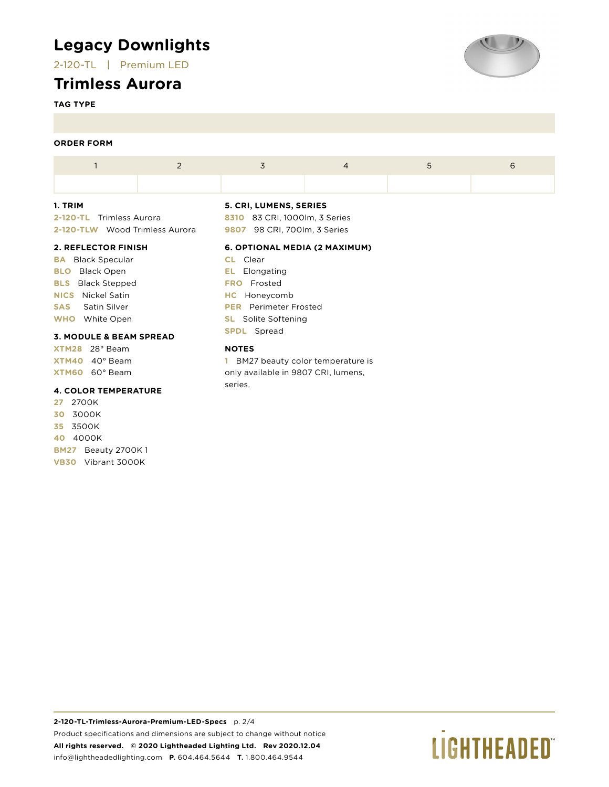## **Legacy Downlights**

2-120-TL | Premium LED

### **Trimless Aurora**

**TAG TYPE**

### **ORDER FORM**

### **1. TRIM**

**2-120-TL** Trimless Aurora **2-120-TLW** Wood Trimless Aurora

### **2. REFLECTOR FINISH**

**BA** Black Specular **BLO** Black Open **BLS** Black Stepped **NICS** Nickel Satin **SAS** Satin Silver **WHO** White Open

### **3. MODULE & BEAM SPREAD**

**XTM28** 28° Beam **XTM40** 40° Beam **XTM60** 60° Beam

### **4. COLOR TEMPERATURE**

**27** 2700K **30** 3000K **35** 3500K **40** 4000K **BM27** Beauty 2700K 1 **VB30** Vibrant 3000K

### **5. CRI, LUMENS, SERIES**

**8310** 83 CRI, 1000lm, 3 Series **9807** 98 CRI, 700lm, 3 Series

### **6. OPTIONAL MEDIA (2 MAXIMUM)**

**CL** Clear **EL** Elongating **FRO** Frosted **HC** Honeycomb **PER** Perimeter Frosted **SL** Solite Softening **SPDL** Spread

### **NOTES**

**1** BM27 beauty color temperature is only available in 9807 CRI, lumens, series.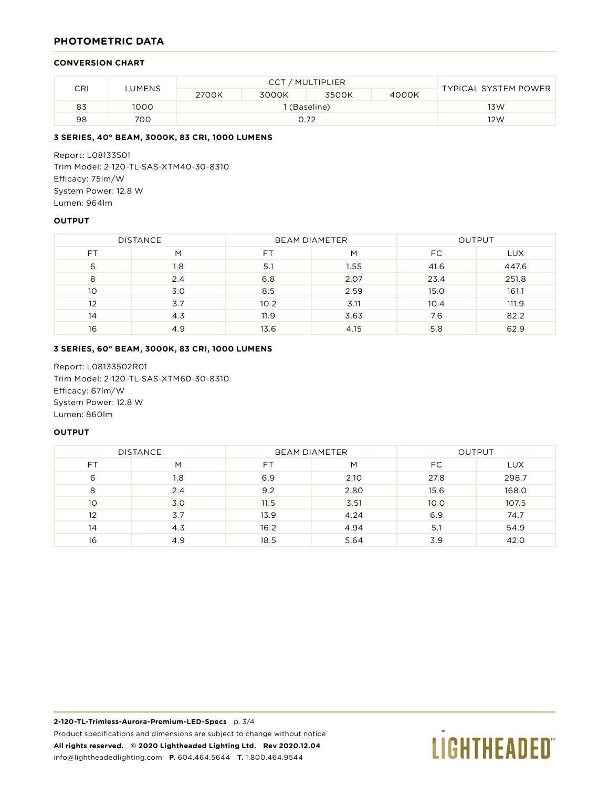### **PHOTOMETRIC DATA**

### **CONVERSION CHART**

|               |      | CCT / MULTIPLIER |       |       |       |                             |  |
|---------------|------|------------------|-------|-------|-------|-----------------------------|--|
| CRI<br>LUMENS |      | 2700K            | 3000K | 3500K | 4000K | <b>TYPICAL SYSTEM POWER</b> |  |
| 83            | 1000 | ' (Baseline)     |       |       | 13W   |                             |  |
| 98            | 700  | 0.72             |       |       | 12W   |                             |  |

### **3 SERIES, 40° BEAM, 3000K, 83 CRI, 1000 LUMENS**

Report: L08133501 Trim Model: 2-120-TL-SAS-XTM40-30-8310 Efficacy: 75lm/W System Power: 12.8 W Lumen: 964lm

### **OUTPUT**

| <b>DISTANCE</b> |     | <b>BEAM DIAMETER</b> |      | <b>OUTPUT</b> |            |
|-----------------|-----|----------------------|------|---------------|------------|
| FT.             | M   | F1                   | M    | FC.           | <b>LUX</b> |
| 6               | 1.8 | 5.1                  | 1.55 | 41.6          | 447.6      |
| 8               | 2.4 | 6.8                  | 2.07 | 23.4          | 251.8      |
| 10              | 3.0 | 8.5                  | 2.59 | 15.0          | 161.1      |
| 12              | 3.7 | 10.2                 | 3.11 | 10.4          | 111.9      |
| 14              | 4.3 | 11.9                 | 3.63 | 7.6           | 82.2       |
| 16              | 4.9 | 13.6                 | 4.15 | 5.8           | 62.9       |

### **3 SERIES, 60° BEAM, 3000K, 83 CRI, 1000 LUMENS**

Report: L08133502R01 Trim Model: 2-120-TL-SAS-XTM60-30-8310 Efficacy: 67lm/W System Power: 12.8 W Lumen: 860lm

### **OUTPUT**

| <b>DISTANCE</b> |     | <b>BEAM DIAMETER</b> |      | OUTPUT |            |
|-----------------|-----|----------------------|------|--------|------------|
| FΤ              | M   | FΤ                   | M    | FC     | <b>LUX</b> |
| 6               | 1.8 | 6.9                  | 2.10 | 27.8   | 298.7      |
| 8               | 2.4 | 9.2                  | 2.80 | 15.6   | 168.0      |
| 10              | 3.0 | 11.5                 | 3.51 | 10.0   | 107.5      |
| 12              | 3.7 | 13.9                 | 4.24 | 6.9    | 74.7       |
| 14              | 4.3 | 16.2                 | 4.94 | 5.1    | 54.9       |
| 16              | 4.9 | 18.5                 | 5.64 | 3.9    | 42.0       |